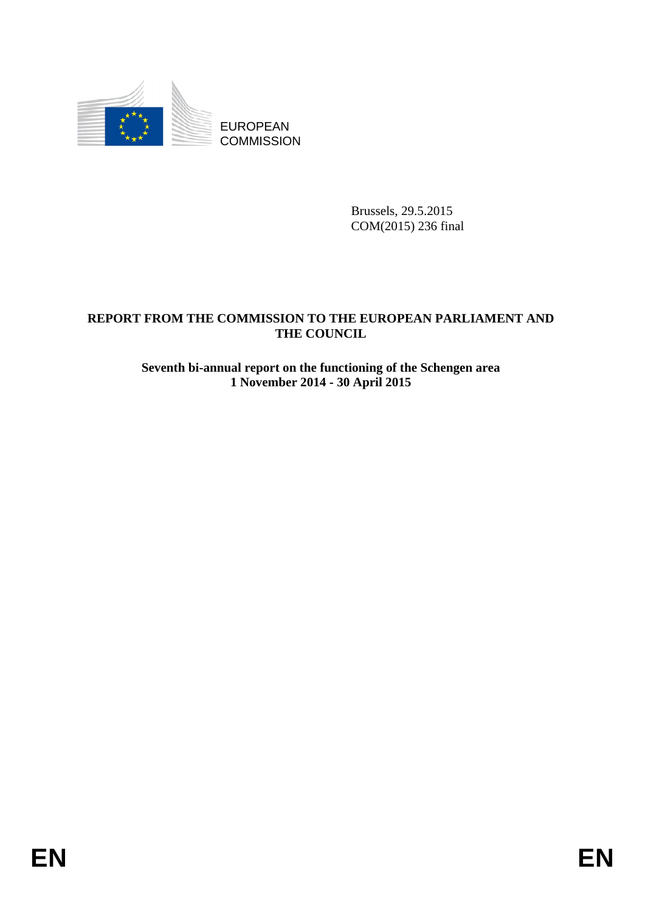

Brussels, 29.5.2015 COM(2015) 236 final

# **REPORT FROM THE COMMISSION TO THE EUROPEAN PARLIAMENT AND THE COUNCIL**

# **Seventh bi-annual report on the functioning of the Schengen area 1 November 2014 - 30 April 2015**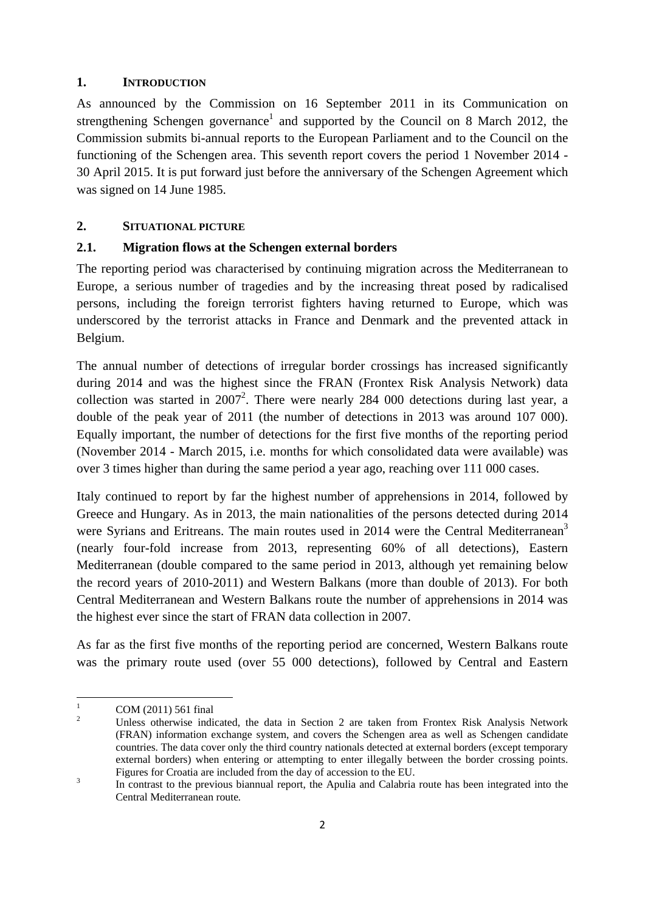#### **1. INTRODUCTION**

As announced by the Commission on 16 September 2011 in its Communication on strengthening Schengen governance<sup>1</sup> and supported by the Council on 8 March 2012, the Commission submits bi-annual reports to the European Parliament and to the Council on the functioning of the Schengen area. This seventh report covers the period 1 November 2014 - 30 April 2015. It is put forward just before the anniversary of the Schengen Agreement which was signed on 14 June 1985.

#### **2. SITUATIONAL PICTURE**

### **2.1. Migration flows at the Schengen external borders**

The reporting period was characterised by continuing migration across the Mediterranean to Europe, a serious number of tragedies and by the increasing threat posed by radicalised persons, including the foreign terrorist fighters having returned to Europe, which was underscored by the terrorist attacks in France and Denmark and the prevented attack in Belgium.

The annual number of detections of irregular border crossings has increased significantly during 2014 and was the highest since the FRAN (Frontex Risk Analysis Network) data collection was started in  $2007^2$ . There were nearly 284 000 detections during last year, a double of the peak year of 2011 (the number of detections in 2013 was around 107 000). Equally important, the number of detections for the first five months of the reporting period (November 2014 - March 2015, i.e. months for which consolidated data were available) was over 3 times higher than during the same period a year ago, reaching over 111 000 cases.

Italy continued to report by far the highest number of apprehensions in 2014, followed by Greece and Hungary. As in 2013, the main nationalities of the persons detected during 2014 were Syrians and Eritreans. The main routes used in 2014 were the Central Mediterranean<sup>3</sup> (nearly four-fold increase from 2013, representing 60% of all detections), Eastern Mediterranean (double compared to the same period in 2013, although yet remaining below the record years of 2010-2011) and Western Balkans (more than double of 2013). For both Central Mediterranean and Western Balkans route the number of apprehensions in 2014 was the highest ever since the start of FRAN data collection in 2007.

As far as the first five months of the reporting period are concerned, Western Balkans route was the primary route used (over 55 000 detections), followed by Central and Eastern

 $\frac{1}{1}$ COM (2011) 561 final

<sup>2</sup> Unless otherwise indicated, the data in Section 2 are taken from Frontex Risk Analysis Network (FRAN) information exchange system, and covers the Schengen area as well as Schengen candidate countries. The data cover only the third country nationals detected at external borders (except temporary external borders) when entering or attempting to enter illegally between the border crossing points. Figures for Croatia are included from the day of accession to the EU.

In contrast to the previous biannual report, the Apulia and Calabria route has been integrated into the Central Mediterranean route*.*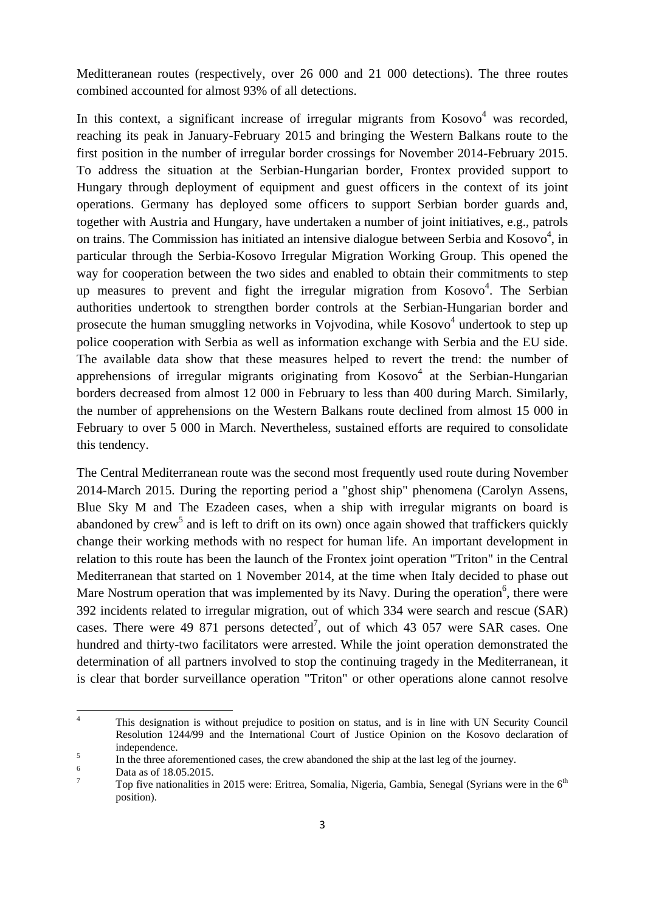Meditteranean routes (respectively, over 26 000 and 21 000 detections). The three routes combined accounted for almost 93% of all detections.

In this context, a significant increase of irregular migrants from  $Kosovo<sup>4</sup>$  was recorded, reaching its peak in January-February 2015 and bringing the Western Balkans route to the first position in the number of irregular border crossings for November 2014-February 2015. To address the situation at the Serbian-Hungarian border, Frontex provided support to Hungary through deployment of equipment and guest officers in the context of its joint operations. Germany has deployed some officers to support Serbian border guards and, together with Austria and Hungary, have undertaken a number of joint initiatives, e.g., patrols on trains. The Commission has initiated an intensive dialogue between Serbia and Kosovo $4$ , in particular through the Serbia-Kosovo Irregular Migration Working Group. This opened the way for cooperation between the two sides and enabled to obtain their commitments to step up measures to prevent and fight the irregular migration from  $Kosovo<sup>4</sup>$ . The Serbian authorities undertook to strengthen border controls at the Serbian-Hungarian border and prosecute the human smuggling networks in Vojvodina, while Kosovo<sup>4</sup> undertook to step up police cooperation with Serbia as well as information exchange with Serbia and the EU side. The available data show that these measures helped to revert the trend: the number of apprehensions of irregular migrants originating from  $Kosovo<sup>4</sup>$  at the Serbian-Hungarian borders decreased from almost 12 000 in February to less than 400 during March*.* Similarly, the number of apprehensions on the Western Balkans route declined from almost 15 000 in February to over 5 000 in March. Nevertheless, sustained efforts are required to consolidate this tendency.

The Central Mediterranean route was the second most frequently used route during November 2014-March 2015. During the reporting period a "ghost ship" phenomena (Carolyn Assens, Blue Sky M and The Ezadeen cases, when a ship with irregular migrants on board is abandoned by crew<sup>5</sup> and is left to drift on its own) once again showed that traffickers quickly change their working methods with no respect for human life. An important development in relation to this route has been the launch of the Frontex joint operation "Triton" in the Central Mediterranean that started on 1 November 2014, at the time when Italy decided to phase out Mare Nostrum operation that was implemented by its Navy. During the operation<sup>6</sup>, there were 392 incidents related to irregular migration, out of which 334 were search and rescue (SAR) cases. There were 49 871 persons detected<sup>7</sup>, out of which 43 057 were SAR cases. One hundred and thirty-two facilitators were arrested. While the joint operation demonstrated the determination of all partners involved to stop the continuing tragedy in the Mediterranean, it is clear that border surveillance operation "Triton" or other operations alone cannot resolve

 $\frac{1}{4}$  This designation is without prejudice to position on status, and is in line with UN Security Council Resolution 1244/99 and the International Court of Justice Opinion on the Kosovo declaration of independence. 5

In the three aforementioned cases, the crew abandoned the ship at the last leg of the journey.

Data as of 18.05.2015.

<sup>7</sup> Top five nationalities in 2015 were: Eritrea, Somalia, Nigeria, Gambia, Senegal (Syrians were in the 6<sup>th</sup>) position).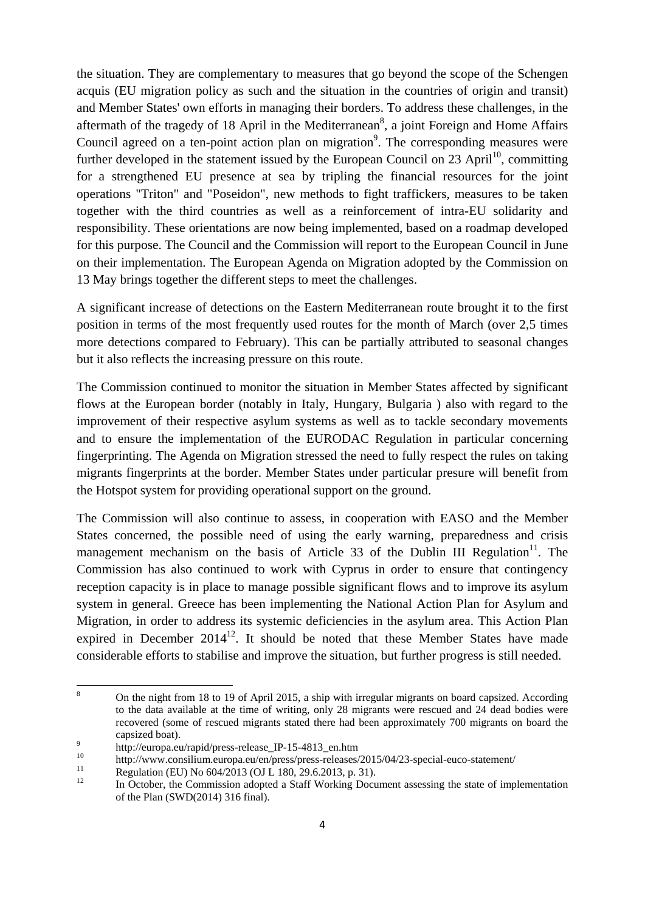the situation. They are complementary to measures that go beyond the scope of the Schengen acquis (EU migration policy as such and the situation in the countries of origin and transit) and Member States' own efforts in managing their borders. To address these challenges, in the aftermath of the tragedy of 18 April in the Mediterranean<sup>8</sup>, a joint Foreign and Home Affairs Council agreed on a ten-point action plan on migration<sup>9</sup>. The corresponding measures were further developed in the statement issued by the European Council on  $23$  April<sup>10</sup>, committing for a strengthened EU presence at sea by tripling the financial resources for the joint operations "Triton" and "Poseidon", new methods to fight traffickers, measures to be taken together with the third countries as well as a reinforcement of intra-EU solidarity and responsibility. These orientations are now being implemented, based on a roadmap developed for this purpose. The Council and the Commission will report to the European Council in June on their implementation. The European Agenda on Migration adopted by the Commission on 13 May brings together the different steps to meet the challenges.

A significant increase of detections on the Eastern Mediterranean route brought it to the first position in terms of the most frequently used routes for the month of March (over 2,5 times more detections compared to February). This can be partially attributed to seasonal changes but it also reflects the increasing pressure on this route.

The Commission continued to monitor the situation in Member States affected by significant flows at the European border (notably in Italy, Hungary, Bulgaria ) also with regard to the improvement of their respective asylum systems as well as to tackle secondary movements and to ensure the implementation of the EURODAC Regulation in particular concerning fingerprinting. The Agenda on Migration stressed the need to fully respect the rules on taking migrants fingerprints at the border. Member States under particular presure will benefit from the Hotspot system for providing operational support on the ground.

The Commission will also continue to assess, in cooperation with EASO and the Member States concerned, the possible need of using the early warning, preparedness and crisis management mechanism on the basis of Article 33 of the Dublin III Regulation<sup>11</sup>. The Commission has also continued to work with Cyprus in order to ensure that contingency reception capacity is in place to manage possible significant flows and to improve its asylum system in general. Greece has been implementing the National Action Plan for Asylum and Migration, in order to address its systemic deficiencies in the asylum area. This Action Plan expired in December  $2014^{12}$ . It should be noted that these Member States have made considerable efforts to stabilise and improve the situation, but further progress is still needed.

<sup>-&</sup>lt;br>8 On the night from 18 to 19 of April 2015, a ship with irregular migrants on board capsized. According to the data available at the time of writing, only 28 migrants were rescued and 24 dead bodies were recovered (some of rescued migrants stated there had been approximately 700 migrants on board the capsized boat).

http://europa.eu/rapid/press-release\_IP-15-4813\_en.htm

<sup>&</sup>lt;sup>10</sup> http://www.consilium.europa.eu/en/press/press-releases/2015/04/23-special-euco-statement/<br><sup>11</sup> Regulation (EU) No 604/2013 (OJ L 180, 29.6.2013, p. 31).

In October, the Commission adopted a Staff Working Document assessing the state of implementation of the Plan (SWD(2014) 316 final).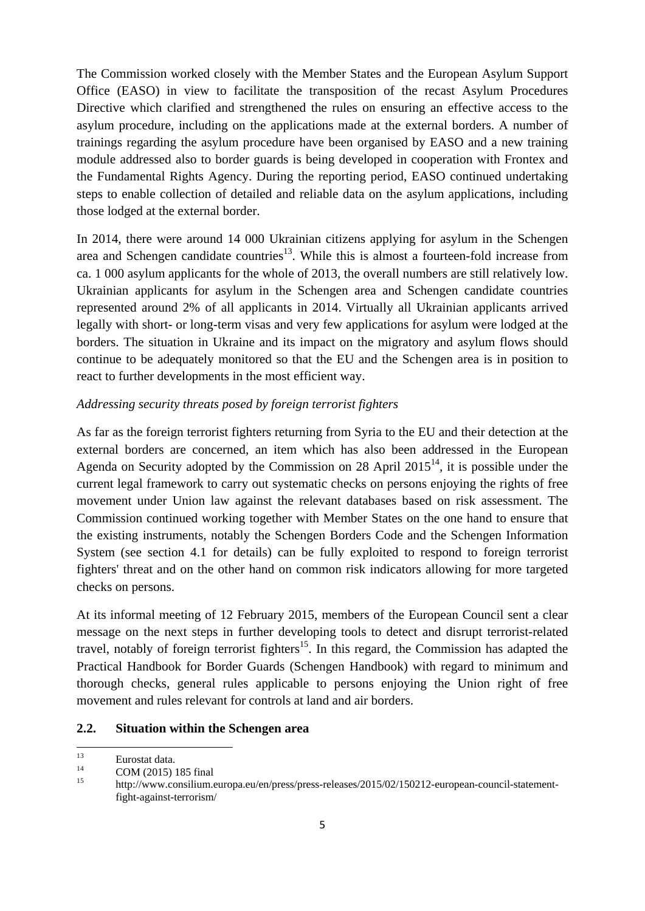The Commission worked closely with the Member States and the European Asylum Support Office (EASO) in view to facilitate the transposition of the recast Asylum Procedures Directive which clarified and strengthened the rules on ensuring an effective access to the asylum procedure, including on the applications made at the external borders. A number of trainings regarding the asylum procedure have been organised by EASO and a new training module addressed also to border guards is being developed in cooperation with Frontex and the Fundamental Rights Agency. During the reporting period, EASO continued undertaking steps to enable collection of detailed and reliable data on the asylum applications, including those lodged at the external border.

In 2014, there were around 14 000 Ukrainian citizens applying for asylum in the Schengen area and Schengen candidate countries<sup>13</sup>. While this is almost a fourteen-fold increase from ca. 1 000 asylum applicants for the whole of 2013, the overall numbers are still relatively low. Ukrainian applicants for asylum in the Schengen area and Schengen candidate countries represented around 2% of all applicants in 2014. Virtually all Ukrainian applicants arrived legally with short- or long-term visas and very few applications for asylum were lodged at the borders. The situation in Ukraine and its impact on the migratory and asylum flows should continue to be adequately monitored so that the EU and the Schengen area is in position to react to further developments in the most efficient way.

#### *Addressing security threats posed by foreign terrorist fighters*

As far as the foreign terrorist fighters returning from Syria to the EU and their detection at the external borders are concerned, an item which has also been addressed in the European Agenda on Security adopted by the Commission on 28 April  $2015<sup>14</sup>$ , it is possible under the current legal framework to carry out systematic checks on persons enjoying the rights of free movement under Union law against the relevant databases based on risk assessment. The Commission continued working together with Member States on the one hand to ensure that the existing instruments, notably the Schengen Borders Code and the Schengen Information System (see section 4.1 for details) can be fully exploited to respond to foreign terrorist fighters' threat and on the other hand on common risk indicators allowing for more targeted checks on persons.

At its informal meeting of 12 February 2015, members of the European Council sent a clear message on the next steps in further developing tools to detect and disrupt terrorist-related travel, notably of foreign terrorist fighters<sup>15</sup>. In this regard, the Commission has adapted the Practical Handbook for Border Guards (Schengen Handbook) with regard to minimum and thorough checks, general rules applicable to persons enjoying the Union right of free movement and rules relevant for controls at land and air borders.

#### **2.2. Situation within the Schengen area**

<sup>13</sup>  $\frac{13}{14}$  Eurostat data.

 $14$  COM (2015) 185 final

<sup>15</sup> http://www.consilium.europa.eu/en/press/press-releases/2015/02/150212-european-council-statementfight-against-terrorism/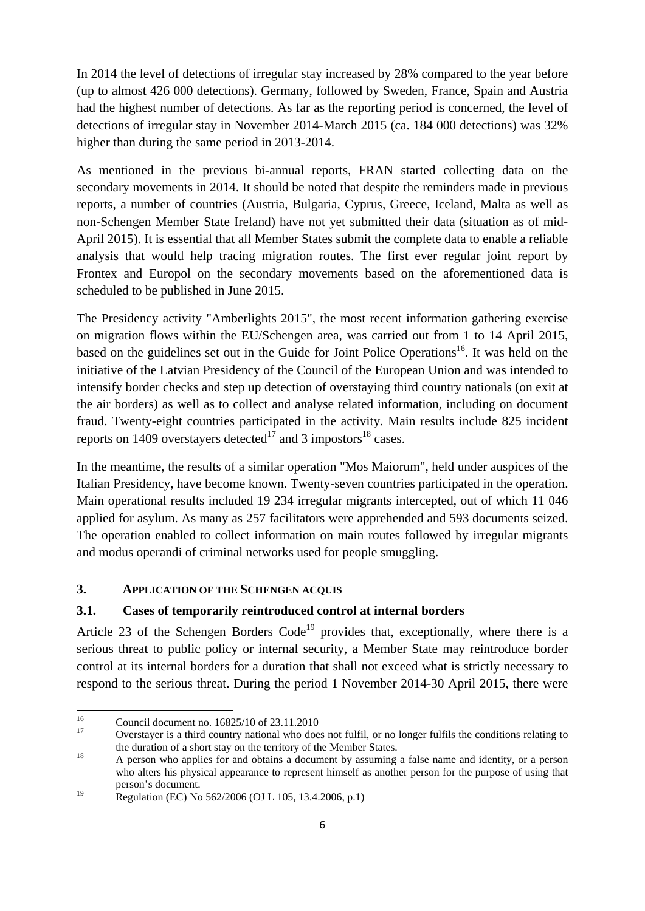In 2014 the level of detections of irregular stay increased by 28% compared to the year before (up to almost 426 000 detections). Germany, followed by Sweden, France, Spain and Austria had the highest number of detections. As far as the reporting period is concerned, the level of detections of irregular stay in November 2014-March 2015 (ca. 184 000 detections) was 32% higher than during the same period in 2013-2014.

As mentioned in the previous bi-annual reports, FRAN started collecting data on the secondary movements in 2014. It should be noted that despite the reminders made in previous reports, a number of countries (Austria, Bulgaria, Cyprus, Greece, Iceland, Malta as well as non-Schengen Member State Ireland) have not yet submitted their data (situation as of mid-April 2015). It is essential that all Member States submit the complete data to enable a reliable analysis that would help tracing migration routes. The first ever regular joint report by Frontex and Europol on the secondary movements based on the aforementioned data is scheduled to be published in June 2015.

The Presidency activity "Amberlights 2015", the most recent information gathering exercise on migration flows within the EU/Schengen area, was carried out from 1 to 14 April 2015, based on the guidelines set out in the Guide for Joint Police Operations<sup>16</sup>. It was held on the initiative of the Latvian Presidency of the Council of the European Union and was intended to intensify border checks and step up detection of overstaying third country nationals (on exit at the air borders) as well as to collect and analyse related information, including on document fraud. Twenty-eight countries participated in the activity. Main results include 825 incident reports on 1409 overstayers detected<sup>17</sup> and 3 impostors<sup>18</sup> cases.

In the meantime, the results of a similar operation "Mos Maiorum", held under auspices of the Italian Presidency, have become known. Twenty-seven countries participated in the operation. Main operational results included 19 234 irregular migrants intercepted, out of which 11 046 applied for asylum. As many as 257 facilitators were apprehended and 593 documents seized. The operation enabled to collect information on main routes followed by irregular migrants and modus operandi of criminal networks used for people smuggling.

### **3. APPLICATION OF THE SCHENGEN ACQUIS**

### **3.1. Cases of temporarily reintroduced control at internal borders**

Article 23 of the Schengen Borders  $Code<sup>19</sup>$  provides that, exceptionally, where there is a serious threat to public policy or internal security, a Member State may reintroduce border control at its internal borders for a duration that shall not exceed what is strictly necessary to respond to the serious threat. During the period 1 November 2014-30 April 2015, there were

<sup>16</sup> <sup>16</sup> Council document no.  $16825/10$  of  $23.11.2010$ 

<sup>17</sup> Overstayer is a third country national who does not fulfil, or no longer fulfils the conditions relating to

the duration of a short stay on the territory of the Member States.<br>A person who applies for and obtains a document by assuming a false name and identity, or a person who alters his physical appearance to represent himself as another person for the purpose of using that person's document.

<sup>19</sup> Regulation (EC) No 562/2006 (OJ L 105, 13.4.2006, p.1)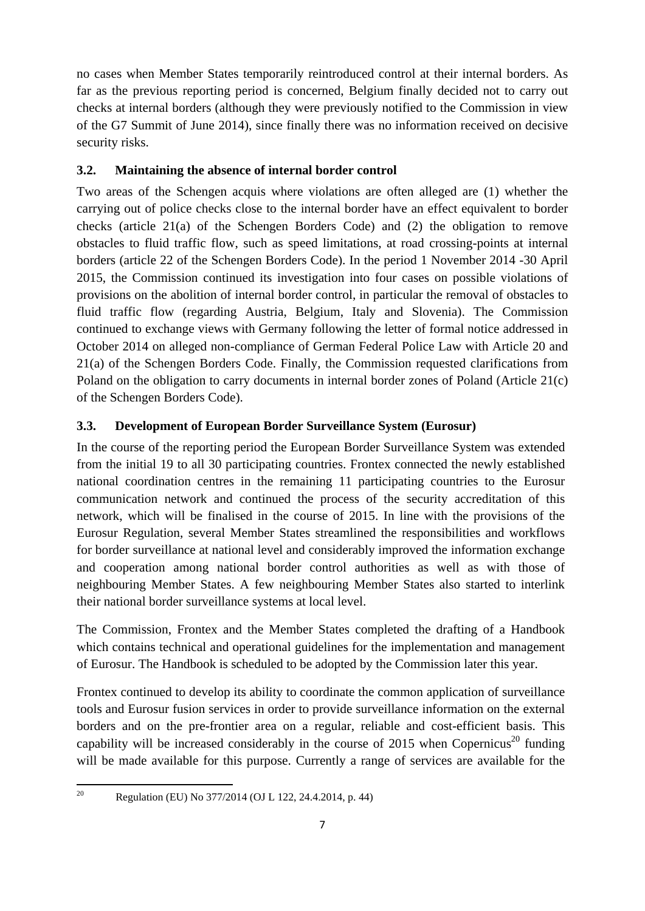no cases when Member States temporarily reintroduced control at their internal borders. As far as the previous reporting period is concerned, Belgium finally decided not to carry out checks at internal borders (although they were previously notified to the Commission in view of the G7 Summit of June 2014), since finally there was no information received on decisive security risks.

### **3.2. Maintaining the absence of internal border control**

Two areas of the Schengen acquis where violations are often alleged are (1) whether the carrying out of police checks close to the internal border have an effect equivalent to border checks (article 21(a) of the Schengen Borders Code) and (2) the obligation to remove obstacles to fluid traffic flow, such as speed limitations, at road crossing-points at internal borders (article 22 of the Schengen Borders Code). In the period 1 November 2014 -30 April 2015, the Commission continued its investigation into four cases on possible violations of provisions on the abolition of internal border control, in particular the removal of obstacles to fluid traffic flow (regarding Austria, Belgium, Italy and Slovenia). The Commission continued to exchange views with Germany following the letter of formal notice addressed in October 2014 on alleged non-compliance of German Federal Police Law with Article 20 and 21(a) of the Schengen Borders Code. Finally, the Commission requested clarifications from Poland on the obligation to carry documents in internal border zones of Poland (Article 21(c) of the Schengen Borders Code).

# **3.3. Development of European Border Surveillance System (Eurosur)**

In the course of the reporting period the European Border Surveillance System was extended from the initial 19 to all 30 participating countries. Frontex connected the newly established national coordination centres in the remaining 11 participating countries to the Eurosur communication network and continued the process of the security accreditation of this network, which will be finalised in the course of 2015. In line with the provisions of the Eurosur Regulation, several Member States streamlined the responsibilities and workflows for border surveillance at national level and considerably improved the information exchange and cooperation among national border control authorities as well as with those of neighbouring Member States. A few neighbouring Member States also started to interlink their national border surveillance systems at local level.

The Commission, Frontex and the Member States completed the drafting of a Handbook which contains technical and operational guidelines for the implementation and management of Eurosur. The Handbook is scheduled to be adopted by the Commission later this year.

Frontex continued to develop its ability to coordinate the common application of surveillance tools and Eurosur fusion services in order to provide surveillance information on the external borders and on the pre-frontier area on a regular, reliable and cost-efficient basis. This capability will be increased considerably in the course of  $2015$  when Copernicus<sup>20</sup> funding will be made available for this purpose. Currently a range of services are available for the

<sup>20</sup> 20 Regulation (EU) No 377/2014 (OJ L 122, 24.4.2014, p. 44)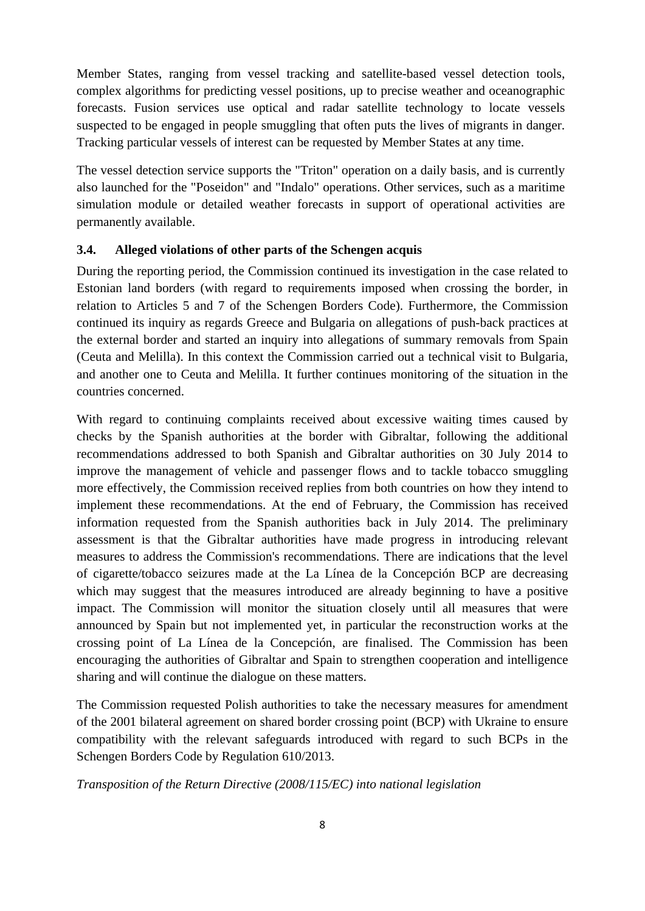Member States, ranging from vessel tracking and satellite-based vessel detection tools, complex algorithms for predicting vessel positions, up to precise weather and oceanographic forecasts. Fusion services use optical and radar satellite technology to locate vessels suspected to be engaged in people smuggling that often puts the lives of migrants in danger. Tracking particular vessels of interest can be requested by Member States at any time.

The vessel detection service supports the "Triton" operation on a daily basis, and is currently also launched for the "Poseidon" and "Indalo" operations. Other services, such as a maritime simulation module or detailed weather forecasts in support of operational activities are permanently available.

#### **3.4. Alleged violations of other parts of the Schengen acquis**

During the reporting period, the Commission continued its investigation in the case related to Estonian land borders (with regard to requirements imposed when crossing the border, in relation to Articles 5 and 7 of the Schengen Borders Code). Furthermore, the Commission continued its inquiry as regards Greece and Bulgaria on allegations of push-back practices at the external border and started an inquiry into allegations of summary removals from Spain (Ceuta and Melilla). In this context the Commission carried out a technical visit to Bulgaria, and another one to Ceuta and Melilla. It further continues monitoring of the situation in the countries concerned.

With regard to continuing complaints received about excessive waiting times caused by checks by the Spanish authorities at the border with Gibraltar, following the additional recommendations addressed to both Spanish and Gibraltar authorities on 30 July 2014 to improve the management of vehicle and passenger flows and to tackle tobacco smuggling more effectively, the Commission received replies from both countries on how they intend to implement these recommendations. At the end of February, the Commission has received information requested from the Spanish authorities back in July 2014. The preliminary assessment is that the Gibraltar authorities have made progress in introducing relevant measures to address the Commission's recommendations. There are indications that the level of cigarette/tobacco seizures made at the La Línea de la Concepción BCP are decreasing which may suggest that the measures introduced are already beginning to have a positive impact. The Commission will monitor the situation closely until all measures that were announced by Spain but not implemented yet, in particular the reconstruction works at the crossing point of La Línea de la Concepción, are finalised. The Commission has been encouraging the authorities of Gibraltar and Spain to strengthen cooperation and intelligence sharing and will continue the dialogue on these matters.

The Commission requested Polish authorities to take the necessary measures for amendment of the 2001 bilateral agreement on shared border crossing point (BCP) with Ukraine to ensure compatibility with the relevant safeguards introduced with regard to such BCPs in the Schengen Borders Code by Regulation 610/2013.

*Transposition of the Return Directive (2008/115/EC) into national legislation*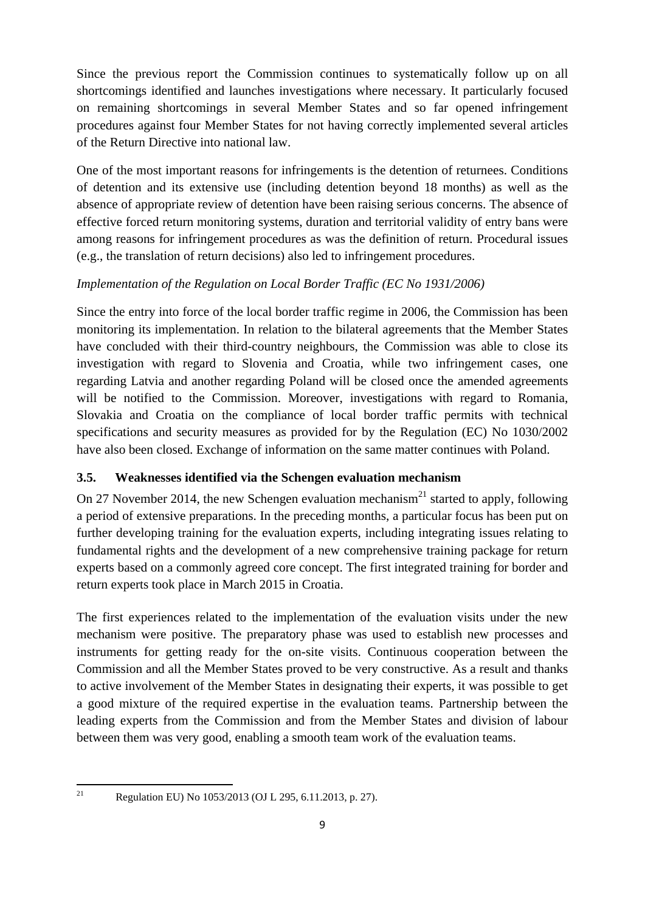Since the previous report the Commission continues to systematically follow up on all shortcomings identified and launches investigations where necessary. It particularly focused on remaining shortcomings in several Member States and so far opened infringement procedures against four Member States for not having correctly implemented several articles of the Return Directive into national law.

One of the most important reasons for infringements is the detention of returnees. Conditions of detention and its extensive use (including detention beyond 18 months) as well as the absence of appropriate review of detention have been raising serious concerns. The absence of effective forced return monitoring systems, duration and territorial validity of entry bans were among reasons for infringement procedures as was the definition of return. Procedural issues (e.g., the translation of return decisions) also led to infringement procedures.

## *Implementation of the Regulation on Local Border Traffic (EC No 1931/2006)*

Since the entry into force of the local border traffic regime in 2006, the Commission has been monitoring its implementation. In relation to the bilateral agreements that the Member States have concluded with their third-country neighbours, the Commission was able to close its investigation with regard to Slovenia and Croatia, while two infringement cases, one regarding Latvia and another regarding Poland will be closed once the amended agreements will be notified to the Commission. Moreover, investigations with regard to Romania, Slovakia and Croatia on the compliance of local border traffic permits with technical specifications and security measures as provided for by the Regulation (EC) No 1030/2002 have also been closed. Exchange of information on the same matter continues with Poland.

### **3.5. Weaknesses identified via the Schengen evaluation mechanism**

On 27 November 2014, the new Schengen evaluation mechanism<sup>21</sup> started to apply, following a period of extensive preparations. In the preceding months, a particular focus has been put on further developing training for the evaluation experts, including integrating issues relating to fundamental rights and the development of a new comprehensive training package for return experts based on a commonly agreed core concept. The first integrated training for border and return experts took place in March 2015 in Croatia.

The first experiences related to the implementation of the evaluation visits under the new mechanism were positive. The preparatory phase was used to establish new processes and instruments for getting ready for the on-site visits. Continuous cooperation between the Commission and all the Member States proved to be very constructive. As a result and thanks to active involvement of the Member States in designating their experts, it was possible to get a good mixture of the required expertise in the evaluation teams. Partnership between the leading experts from the Commission and from the Member States and division of labour between them was very good, enabling a smooth team work of the evaluation teams.

 $21$ 

Regulation EU) No 1053/2013 (OJ L 295, 6.11.2013, p. 27).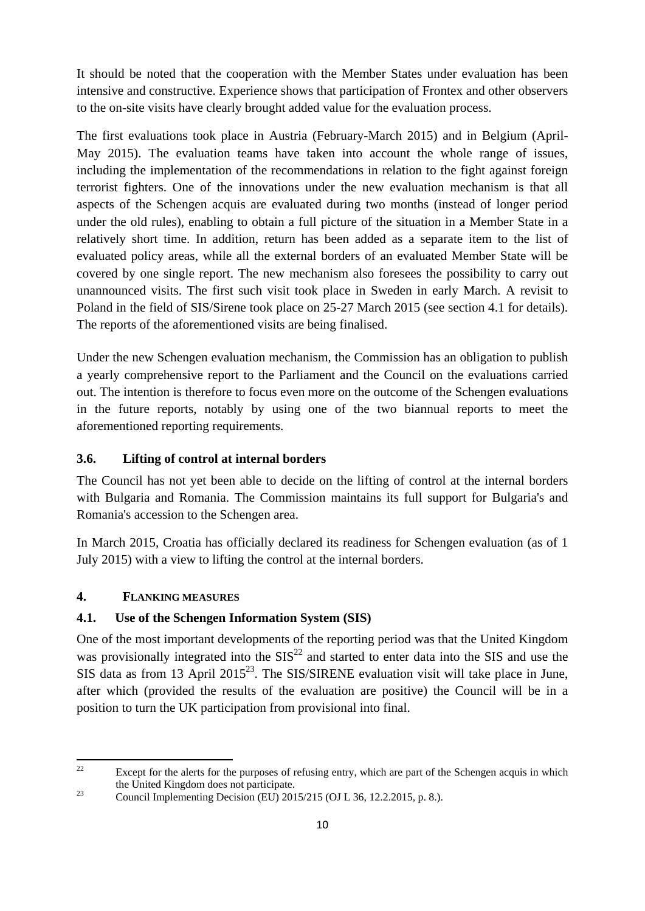It should be noted that the cooperation with the Member States under evaluation has been intensive and constructive. Experience shows that participation of Frontex and other observers to the on-site visits have clearly brought added value for the evaluation process.

The first evaluations took place in Austria (February-March 2015) and in Belgium (April-May 2015). The evaluation teams have taken into account the whole range of issues, including the implementation of the recommendations in relation to the fight against foreign terrorist fighters. One of the innovations under the new evaluation mechanism is that all aspects of the Schengen acquis are evaluated during two months (instead of longer period under the old rules), enabling to obtain a full picture of the situation in a Member State in a relatively short time. In addition, return has been added as a separate item to the list of evaluated policy areas, while all the external borders of an evaluated Member State will be covered by one single report. The new mechanism also foresees the possibility to carry out unannounced visits. The first such visit took place in Sweden in early March. A revisit to Poland in the field of SIS/Sirene took place on 25-27 March 2015 (see section 4.1 for details). The reports of the aforementioned visits are being finalised.

Under the new Schengen evaluation mechanism, the Commission has an obligation to publish a yearly comprehensive report to the Parliament and the Council on the evaluations carried out. The intention is therefore to focus even more on the outcome of the Schengen evaluations in the future reports, notably by using one of the two biannual reports to meet the aforementioned reporting requirements.

### **3.6. Lifting of control at internal borders**

The Council has not yet been able to decide on the lifting of control at the internal borders with Bulgaria and Romania. The Commission maintains its full support for Bulgaria's and Romania's accession to the Schengen area.

In March 2015, Croatia has officially declared its readiness for Schengen evaluation (as of 1 July 2015) with a view to lifting the control at the internal borders.

### **4. FLANKING MEASURES**

### **4.1. Use of the Schengen Information System (SIS)**

One of the most important developments of the reporting period was that the United Kingdom was provisionally integrated into the  $SIS^{22}$  and started to enter data into the SIS and use the SIS data as from 13 April 2015<sup>23</sup>. The SIS/SIRENE evaluation visit will take place in June, after which (provided the results of the evaluation are positive) the Council will be in a position to turn the UK participation from provisional into final.

 $\overline{2}$ Except for the alerts for the purposes of refusing entry, which are part of the Schengen acquis in which the United Kingdom does not participate.<br>
23 Council Implementing Decision (EU) 2015/215 (OJ L 36, 12.2.2015, p. 8.).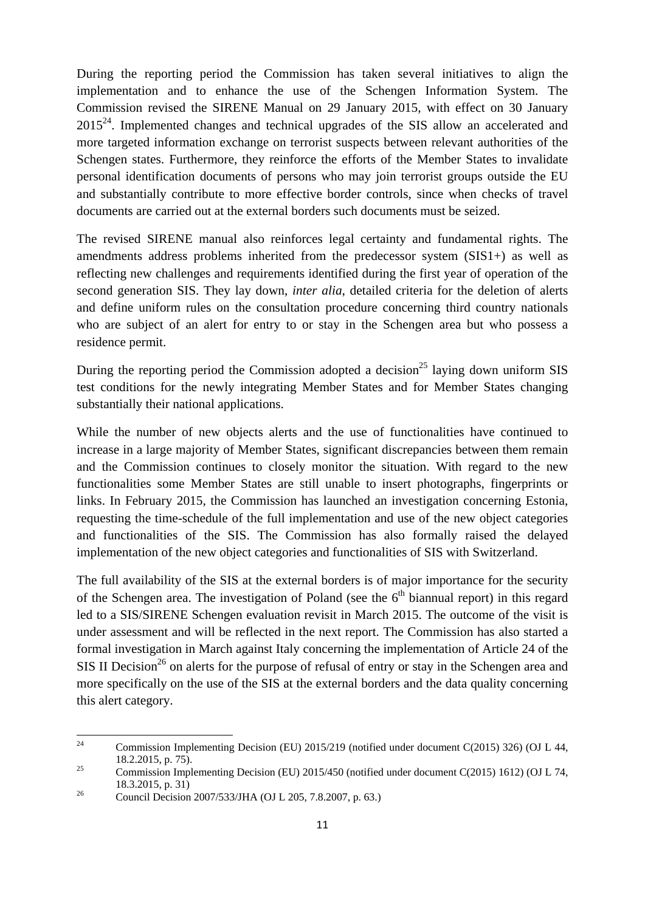During the reporting period the Commission has taken several initiatives to align the implementation and to enhance the use of the Schengen Information System. The Commission revised the SIRENE Manual on 29 January 2015, with effect on 30 January  $2015<sup>24</sup>$ . Implemented changes and technical upgrades of the SIS allow an accelerated and more targeted information exchange on terrorist suspects between relevant authorities of the Schengen states. Furthermore, they reinforce the efforts of the Member States to invalidate personal identification documents of persons who may join terrorist groups outside the EU and substantially contribute to more effective border controls, since when checks of travel documents are carried out at the external borders such documents must be seized.

The revised SIRENE manual also reinforces legal certainty and fundamental rights. The amendments address problems inherited from the predecessor system (SIS1+) as well as reflecting new challenges and requirements identified during the first year of operation of the second generation SIS. They lay down, *inter alia*, detailed criteria for the deletion of alerts and define uniform rules on the consultation procedure concerning third country nationals who are subject of an alert for entry to or stay in the Schengen area but who possess a residence permit.

During the reporting period the Commission adopted a decision<sup>25</sup> laying down uniform SIS test conditions for the newly integrating Member States and for Member States changing substantially their national applications.

While the number of new objects alerts and the use of functionalities have continued to increase in a large majority of Member States, significant discrepancies between them remain and the Commission continues to closely monitor the situation. With regard to the new functionalities some Member States are still unable to insert photographs, fingerprints or links. In February 2015, the Commission has launched an investigation concerning Estonia, requesting the time-schedule of the full implementation and use of the new object categories and functionalities of the SIS. The Commission has also formally raised the delayed implementation of the new object categories and functionalities of SIS with Switzerland.

The full availability of the SIS at the external borders is of major importance for the security of the Schengen area. The investigation of Poland (see the  $6<sup>th</sup>$  biannual report) in this regard led to a SIS/SIRENE Schengen evaluation revisit in March 2015. The outcome of the visit is under assessment and will be reflected in the next report. The Commission has also started a formal investigation in March against Italy concerning the implementation of Article 24 of the SIS II Decision<sup>26</sup> on alerts for the purpose of refusal of entry or stay in the Schengen area and more specifically on the use of the SIS at the external borders and the data quality concerning this alert category.

 $24$ 24 Commission Implementing Decision (EU) 2015/219 (notified under document C(2015) 326) (OJ L 44, 18.2.2015, p. 75).<br>
25 Commission Implementing Decision (EU) 2015/450 (notified under document C(2015) 1612) (OJ L 74,

<sup>18.3.2015,</sup> p. 31)<br>
Council Decision 2007/533/JHA (OJ L 205, 7.8.2007, p. 63.)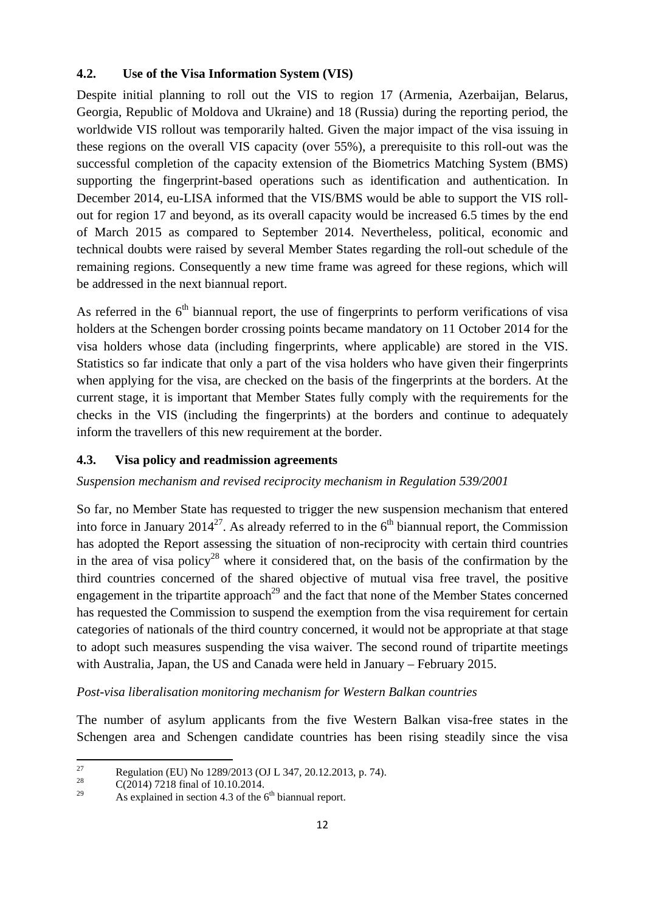### **4.2. Use of the Visa Information System (VIS)**

Despite initial planning to roll out the VIS to region 17 (Armenia, Azerbaijan, Belarus, Georgia, Republic of Moldova and Ukraine) and 18 (Russia) during the reporting period, the worldwide VIS rollout was temporarily halted. Given the major impact of the visa issuing in these regions on the overall VIS capacity (over 55%), a prerequisite to this roll-out was the successful completion of the capacity extension of the Biometrics Matching System (BMS) supporting the fingerprint-based operations such as identification and authentication. In December 2014, eu-LISA informed that the VIS/BMS would be able to support the VIS rollout for region 17 and beyond, as its overall capacity would be increased 6.5 times by the end of March 2015 as compared to September 2014. Nevertheless, political, economic and technical doubts were raised by several Member States regarding the roll-out schedule of the remaining regions. Consequently a new time frame was agreed for these regions, which will be addressed in the next biannual report.

As referred in the  $6<sup>th</sup>$  biannual report, the use of fingerprints to perform verifications of visa holders at the Schengen border crossing points became mandatory on 11 October 2014 for the visa holders whose data (including fingerprints, where applicable) are stored in the VIS. Statistics so far indicate that only a part of the visa holders who have given their fingerprints when applying for the visa, are checked on the basis of the fingerprints at the borders. At the current stage, it is important that Member States fully comply with the requirements for the checks in the VIS (including the fingerprints) at the borders and continue to adequately inform the travellers of this new requirement at the border.

### **4.3. Visa policy and readmission agreements**

#### *Suspension mechanism and revised reciprocity mechanism in Regulation 539/2001*

So far, no Member State has requested to trigger the new suspension mechanism that entered into force in January 2014<sup>27</sup>. As already referred to in the  $6<sup>th</sup>$  biannual report, the Commission has adopted the Report assessing the situation of non-reciprocity with certain third countries in the area of visa policy<sup>28</sup> where it considered that, on the basis of the confirmation by the third countries concerned of the shared objective of mutual visa free travel, the positive engagement in the tripartite approach<sup>29</sup> and the fact that none of the Member States concerned has requested the Commission to suspend the exemption from the visa requirement for certain categories of nationals of the third country concerned, it would not be appropriate at that stage to adopt such measures suspending the visa waiver. The second round of tripartite meetings with Australia, Japan, the US and Canada were held in January – February 2015.

*Post-visa liberalisation monitoring mechanism for Western Balkan countries* 

The number of asylum applicants from the five Western Balkan visa-free states in the Schengen area and Schengen candidate countries has been rising steadily since the visa

<sup>27</sup> <sup>27</sup> Regulation (EU) No 1289/2013 (OJ L 347, 20.12.2013, p. 74).

<sup>&</sup>lt;sup>28</sup> C(2014) 7218 final of 10.10.2014.

As explained in section 4.3 of the  $6<sup>th</sup>$  biannual report.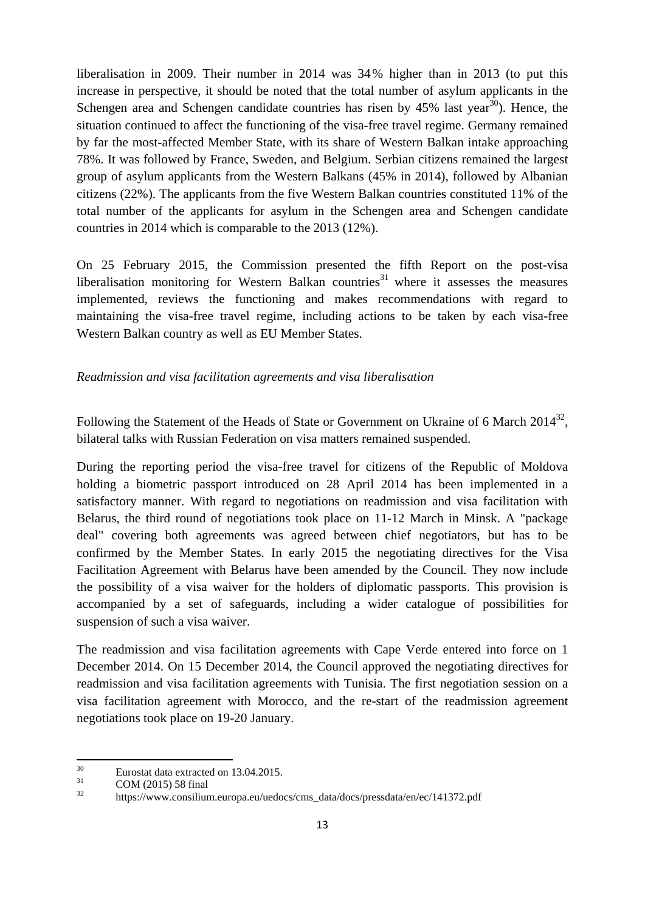liberalisation in 2009. Their number in 2014 was 34% higher than in 2013 (to put this increase in perspective, it should be noted that the total number of asylum applicants in the Schengen area and Schengen candidate countries has risen by  $45\%$  last year<sup>30</sup>). Hence, the situation continued to affect the functioning of the visa-free travel regime. Germany remained by far the most-affected Member State, with its share of Western Balkan intake approaching 78%. It was followed by France, Sweden, and Belgium. Serbian citizens remained the largest group of asylum applicants from the Western Balkans (45% in 2014), followed by Albanian citizens (22%). The applicants from the five Western Balkan countries constituted 11% of the total number of the applicants for asylum in the Schengen area and Schengen candidate countries in 2014 which is comparable to the 2013 (12%).

On 25 February 2015, the Commission presented the fifth Report on the post-visa liberalisation monitoring for Western Balkan countries<sup>31</sup> where it assesses the measures implemented, reviews the functioning and makes recommendations with regard to maintaining the visa-free travel regime, including actions to be taken by each visa-free Western Balkan country as well as EU Member States.

#### *Readmission and visa facilitation agreements and visa liberalisation*

Following the Statement of the Heads of State or Government on Ukraine of 6 March 2014<sup>32</sup>, bilateral talks with Russian Federation on visa matters remained suspended.

During the reporting period the visa-free travel for citizens of the Republic of Moldova holding a biometric passport introduced on 28 April 2014 has been implemented in a satisfactory manner. With regard to negotiations on readmission and visa facilitation with Belarus, the third round of negotiations took place on 11-12 March in Minsk. A "package deal" covering both agreements was agreed between chief negotiators, but has to be confirmed by the Member States. In early 2015 the negotiating directives for the Visa Facilitation Agreement with Belarus have been amended by the Council*.* They now include the possibility of a visa waiver for the holders of diplomatic passports. This provision is accompanied by a set of safeguards, including a wider catalogue of possibilities for suspension of such a visa waiver.

The readmission and visa facilitation agreements with Cape Verde entered into force on 1 December 2014. On 15 December 2014, the Council approved the negotiating directives for readmission and visa facilitation agreements with Tunisia. The first negotiation session on a visa facilitation agreement with Morocco, and the re-start of the readmission agreement negotiations took place on 19-20 January.

<sup>30</sup>  $^{30}$  Eurostat data extracted on 13.04.2015.

 $\frac{31}{32}$  COM (2015) 58 final

<sup>32</sup> https://www.consilium.europa.eu/uedocs/cms\_data/docs/pressdata/en/ec/141372.pdf